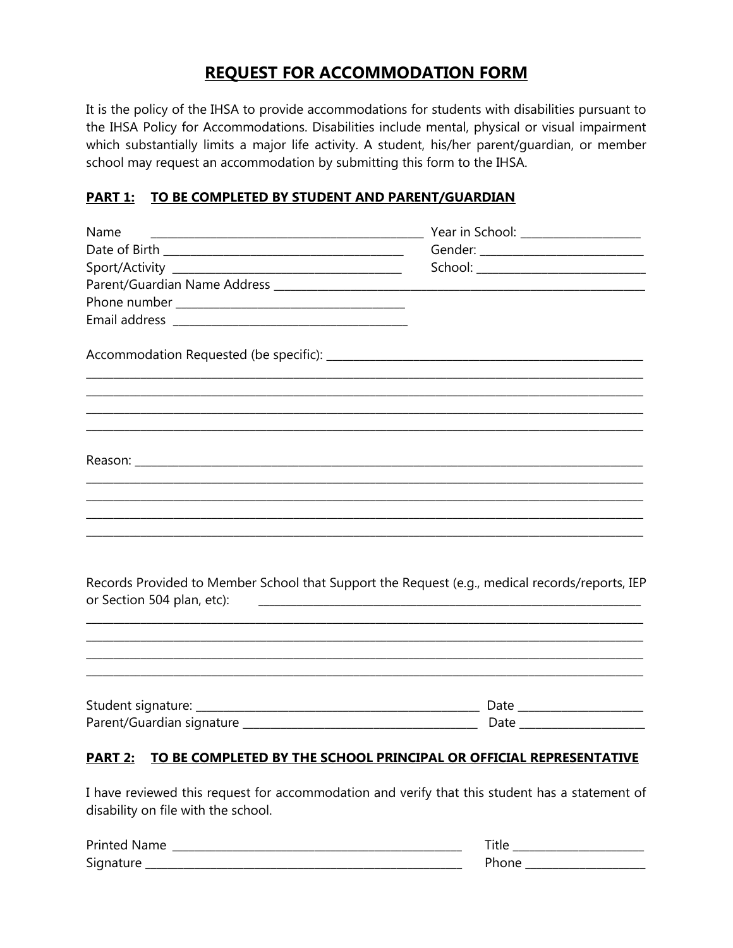## **REQUEST FOR ACCOMMODATION FORM**

It is the policy of the IHSA to provide accommodations for students with disabilities pursuant to the IHSA Policy for Accommodations. Disabilities include mental, physical or visual impairment which substantially limits a major life activity. A student, his/her parent/quardian, or member school may request an accommodation by submitting this form to the IHSA.

## PART 1: TO BE COMPLETED BY STUDENT AND PARENT/GUARDIAN

| Name                                                                                                                         |                                                                                                                         |
|------------------------------------------------------------------------------------------------------------------------------|-------------------------------------------------------------------------------------------------------------------------|
|                                                                                                                              | Gender: ____________________________                                                                                    |
|                                                                                                                              |                                                                                                                         |
|                                                                                                                              |                                                                                                                         |
|                                                                                                                              |                                                                                                                         |
|                                                                                                                              |                                                                                                                         |
| <u> 1989 - Johann Stoff, deutscher Stoff, der Stoff, der Stoff, der Stoff, der Stoff, der Stoff, der Stoff, der S</u>        |                                                                                                                         |
|                                                                                                                              |                                                                                                                         |
| <u> 1989 - Johann Barn, mars et al. 1989 - Anna anno 1989 - Anna ann an t-Amhain ann an t-Amhain ann an t-Amhain</u>         |                                                                                                                         |
|                                                                                                                              |                                                                                                                         |
|                                                                                                                              |                                                                                                                         |
|                                                                                                                              |                                                                                                                         |
| Records Provided to Member School that Support the Request (e.g., medical records/reports, IEP<br>or Section 504 plan, etc): | <u> 1980 - Johann Harry Harry Harry Harry Harry Harry Harry Harry Harry Harry Harry Harry Harry Harry Harry Harry H</u> |
|                                                                                                                              |                                                                                                                         |
|                                                                                                                              |                                                                                                                         |
|                                                                                                                              |                                                                                                                         |
| TO BE COMPLETED BY THE SCHOOL PRINCIPAL OR OFFICIAL REPRESENTATIVE<br><b>PART 2:</b>                                         |                                                                                                                         |

I have reviewed this request for accommodation and verify that this student has a statement of disability on file with the school.

| <b>Printed Name</b> | 145    |
|---------------------|--------|
| Signature           | `hone. |